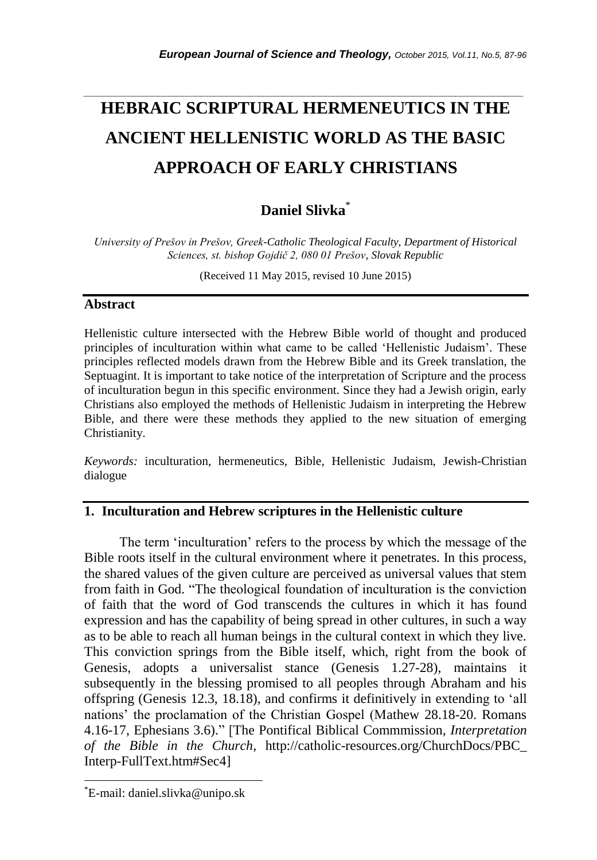# *\_\_\_\_\_\_\_\_\_\_\_\_\_\_\_\_\_\_\_\_\_\_\_\_\_\_\_\_\_\_\_\_\_\_\_\_\_\_\_\_\_\_\_\_\_\_\_\_\_\_\_\_\_\_\_\_\_\_\_\_\_\_\_\_\_\_\_\_\_\_\_* **HEBRAIC SCRIPTURAL HERMENEUTICS IN THE ANCIENT HELLENISTIC WORLD AS THE BASIC APPROACH OF EARLY CHRISTIANS**

# **Daniel Slivka**\*

*University of Prešov in Prešov, Greek-Catholic Theological Faculty, Department of Historical Sciences, st. bishop Gojdič 2, 080 01 Prešov, Slovak Republic*

(Received 11 May 2015, revised 10 June 2015)

#### **Abstract**

Hellenistic culture intersected with the Hebrew Bible world of thought and produced principles of inculturation within what came to be called "Hellenistic Judaism". These principles reflected models drawn from the Hebrew Bible and its Greek translation, the Septuagint. It is important to take notice of the interpretation of Scripture and the process of inculturation begun in this specific environment. Since they had a Jewish origin, early Christians also employed the methods of Hellenistic Judaism in interpreting the Hebrew Bible, and there were these methods they applied to the new situation of emerging Christianity.

*Keywords:* inculturation, hermeneutics, Bible, Hellenistic Judaism, Jewish-Christian dialogue

## **1. Inculturation and Hebrew scriptures in the Hellenistic culture**

The term "inculturation" refers to the process by which the message of the Bible roots itself in the cultural environment where it penetrates. In this process, the shared values of the given culture are perceived as universal values that stem from faith in God. "The theological foundation of inculturation is the conviction of faith that the word of God transcends the cultures in which it has found expression and has the capability of being spread in other cultures, in such a way as to be able to reach all human beings in the cultural context in which they live. This conviction springs from the Bible itself, which, right from the book of Genesis, adopts a universalist stance (Genesis 1.27-28), maintains it subsequently in the blessing promised to all peoples through Abraham and his offspring (Genesis 12.3, 18.18), and confirms it definitively in extending to "all nations" the proclamation of the Christian Gospel (Mathew 28.18-20. Romans 4.16-17, Ephesians 3.6)." [The Pontifical Biblical Commmission, *Interpretation of the Bible in the Church*, http://catholic-resources.org/ChurchDocs/PBC\_ Interp-FullText.htm#Sec4]

l

<sup>\*</sup>E-mail: daniel.slivka@unipo.sk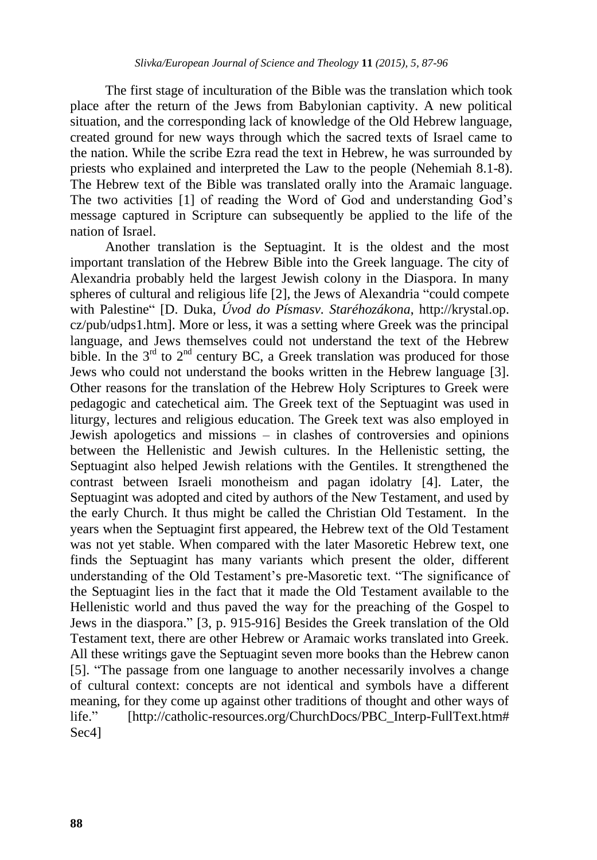The first stage of inculturation of the Bible was the translation which took place after the return of the Jews from Babylonian captivity. A new political situation, and the corresponding lack of knowledge of the Old Hebrew language, created ground for new ways through which the sacred texts of Israel came to the nation. While the scribe Ezra read the text in Hebrew, he was surrounded by priests who explained and interpreted the Law to the people (Nehemiah 8.1-8). The Hebrew text of the Bible was translated orally into the Aramaic language. The two activities [1] of reading the Word of God and understanding God"s message captured in Scripture can subsequently be applied to the life of the nation of Israel.

Another translation is the Septuagint. It is the oldest and the most important translation of the Hebrew Bible into the Greek language. The city of Alexandria probably held the largest Jewish colony in the Diaspora. In many spheres of cultural and religious life [2], the Jews of Alexandria "could compete with Palestine" [D. Duka, *Úvod do Písmasv. Staréhozákona*, http://krystal.op. cz/pub/udps1.htm]. More or less, it was a setting where Greek was the principal language, and Jews themselves could not understand the text of the Hebrew bible. In the  $3<sup>rd</sup>$  to  $2<sup>nd</sup>$  century BC, a Greek translation was produced for those Jews who could not understand the books written in the Hebrew language [3]. Other reasons for the translation of the Hebrew Holy Scriptures to Greek were pedagogic and catechetical aim. The Greek text of the Septuagint was used in liturgy, lectures and religious education. The Greek text was also employed in Jewish apologetics and missions – in clashes of controversies and opinions between the Hellenistic and Jewish cultures. In the Hellenistic setting, the Septuagint also helped Jewish relations with the Gentiles. It strengthened the contrast between Israeli monotheism and pagan idolatry [4]. Later, the Septuagint was adopted and cited by authors of the New Testament, and used by the early Church. It thus might be called the Christian Old Testament. In the years when the Septuagint first appeared, the Hebrew text of the Old Testament was not yet stable. When compared with the later Masoretic Hebrew text, one finds the Septuagint has many variants which present the older, different understanding of the Old Testament"s pre-Masoretic text. "The significance of the Septuagint lies in the fact that it made the Old Testament available to the Hellenistic world and thus paved the way for the preaching of the Gospel to Jews in the diaspora." [3, p. 915-916] Besides the Greek translation of the Old Testament text, there are other Hebrew or Aramaic works translated into Greek. All these writings gave the Septuagint seven more books than the Hebrew canon [5]. "The passage from one language to another necessarily involves a change of cultural context: concepts are not identical and symbols have a different meaning, for they come up against other traditions of thought and other ways of life." [http://catholic-resources.org/ChurchDocs/PBC\_Interp-FullText.htm# Sec4]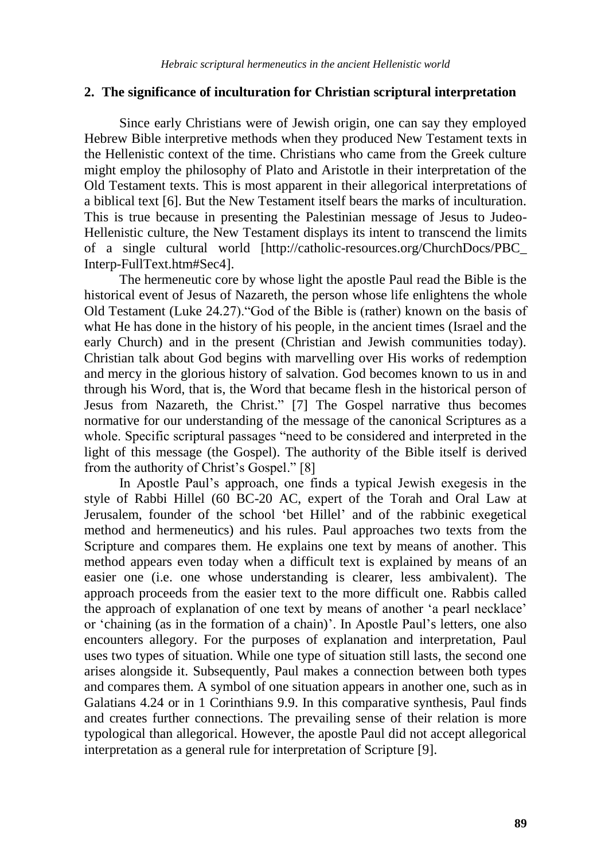#### **2. The significance of inculturation for Christian scriptural interpretation**

Since early Christians were of Jewish origin, one can say they employed Hebrew Bible interpretive methods when they produced New Testament texts in the Hellenistic context of the time. Christians who came from the Greek culture might employ the philosophy of Plato and Aristotle in their interpretation of the Old Testament texts. This is most apparent in their allegorical interpretations of a biblical text [6]. But the New Testament itself bears the marks of inculturation. This is true because in presenting the Palestinian message of Jesus to Judeo-Hellenistic culture, the New Testament displays its intent to transcend the limits of a single cultural world [http://catholic-resources.org/ChurchDocs/PBC\_ Interp-FullText.htm#Sec4].

The hermeneutic core by whose light the apostle Paul read the Bible is the historical event of Jesus of Nazareth, the person whose life enlightens the whole Old Testament (Luke 24.27)."God of the Bible is (rather) known on the basis of what He has done in the history of his people, in the ancient times (Israel and the early Church) and in the present (Christian and Jewish communities today). Christian talk about God begins with marvelling over His works of redemption and mercy in the glorious history of salvation. God becomes known to us in and through his Word, that is, the Word that became flesh in the historical person of Jesus from Nazareth, the Christ." [7] The Gospel narrative thus becomes normative for our understanding of the message of the canonical Scriptures as a whole. Specific scriptural passages "need to be considered and interpreted in the light of this message (the Gospel). The authority of the Bible itself is derived from the authority of Christ's Gospel." [8]

In Apostle Paul"s approach, one finds a typical Jewish exegesis in the style of Rabbi Hillel (60 BC-20 AC, expert of the Torah and Oral Law at Jerusalem, founder of the school "bet Hillel" and of the rabbinic exegetical method and hermeneutics) and his rules. Paul approaches two texts from the Scripture and compares them. He explains one text by means of another. This method appears even today when a difficult text is explained by means of an easier one (i.e. one whose understanding is clearer, less ambivalent). The approach proceeds from the easier text to the more difficult one. Rabbis called the approach of explanation of one text by means of another "a pearl necklace" or "chaining (as in the formation of a chain)". In Apostle Paul"s letters, one also encounters allegory. For the purposes of explanation and interpretation, Paul uses two types of situation. While one type of situation still lasts, the second one arises alongside it. Subsequently, Paul makes a connection between both types and compares them. A symbol of one situation appears in another one, such as in Galatians 4.24 or in 1 Corinthians 9.9. In this comparative synthesis, Paul finds and creates further connections. The prevailing sense of their relation is more typological than allegorical. However, the apostle Paul did not accept allegorical interpretation as a general rule for interpretation of Scripture [9].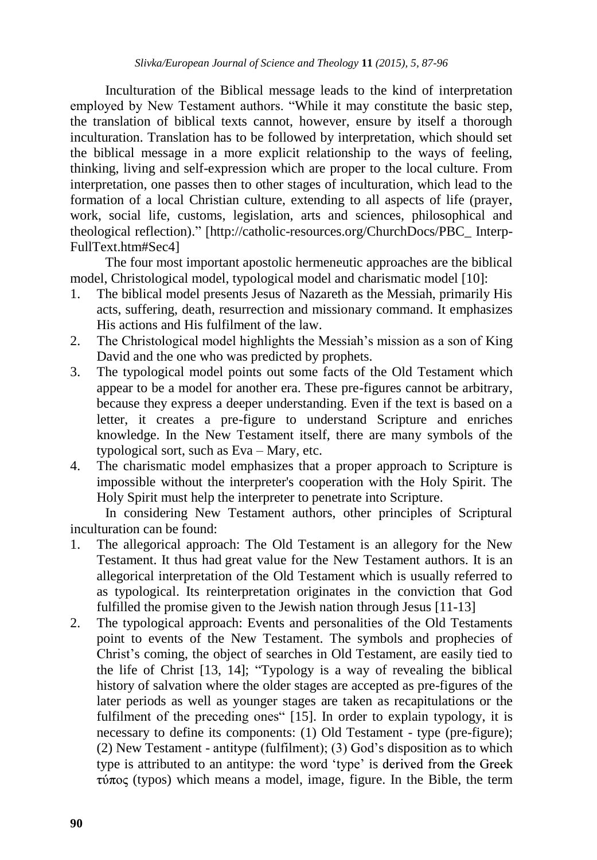Inculturation of the Biblical message leads to the kind of interpretation employed by New Testament authors. "While it may constitute the basic step, the translation of biblical texts cannot, however, ensure by itself a thorough inculturation. Translation has to be followed by interpretation, which should set the biblical message in a more explicit relationship to the ways of feeling, thinking, living and self-expression which are proper to the local culture. From interpretation, one passes then to other stages of inculturation, which lead to the formation of a local Christian culture, extending to all aspects of life (prayer, work, social life, customs, legislation, arts and sciences, philosophical and theological reflection)." [http://catholic-resources.org/ChurchDocs/PBC\_ Interp-FullText.htm#Sec4]

The four most important apostolic hermeneutic approaches are the biblical model, Christological model, typological model and charismatic model [10]:

- 1. The biblical model presents Jesus of Nazareth as the Messiah, primarily His acts, suffering, death, resurrection and missionary command. It emphasizes His actions and His fulfilment of the law.
- 2. The Christological model highlights the Messiah"s mission as a son of King David and the one who was predicted by prophets.
- 3. The typological model points out some facts of the Old Testament which appear to be a model for another era. These pre-figures cannot be arbitrary, because they express a deeper understanding. Even if the text is based on a letter, it creates a pre-figure to understand Scripture and enriches knowledge. In the New Testament itself, there are many symbols of the typological sort, such as Eva – Mary, etc.
- 4. The charismatic model emphasizes that a proper approach to Scripture is impossible without the interpreter's cooperation with the Holy Spirit. The Holy Spirit must help the interpreter to penetrate into Scripture.

In considering New Testament authors, other principles of Scriptural inculturation can be found:

- 1. The allegorical approach: The Old Testament is an allegory for the New Testament. It thus had great value for the New Testament authors. It is an allegorical interpretation of the Old Testament which is usually referred to as typological. Its reinterpretation originates in the conviction that God fulfilled the promise given to the Jewish nation through Jesus [11-13]
- 2. The typological approach: Events and personalities of the Old Testaments point to events of the New Testament. The symbols and prophecies of Christ"s coming, the object of searches in Old Testament, are easily tied to the life of Christ [13, 14]; "Typology is a way of revealing the biblical history of salvation where the older stages are accepted as pre-figures of the later periods as well as younger stages are taken as recapitulations or the fulfilment of the preceding ones" [15]. In order to explain typology, it is necessary to define its components: (1) Old Testament - type (pre-figure); (2) New Testament - antitype (fulfilment); (3) God"s disposition as to which type is attributed to an antitype: the word 'type' is derived from the Greek  $\tau$ ύπος (typos) which means a model, image, figure. In the Bible, the term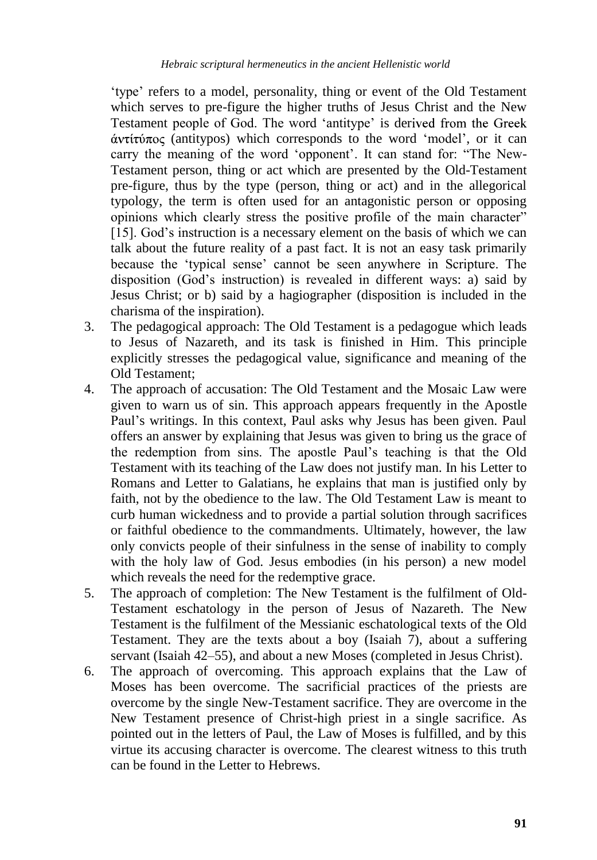"type" refers to a model, personality, thing or event of the Old Testament which serves to pre-figure the higher truths of Jesus Christ and the New Testament people of God. The word 'antitype' is derived from the Greek  $\alpha$ ντίτύπος (antitypos) which corresponds to the word 'model', or it can carry the meaning of the word "opponent". It can stand for: "The New-Testament person, thing or act which are presented by the Old-Testament pre-figure, thus by the type (person, thing or act) and in the allegorical typology, the term is often used for an antagonistic person or opposing opinions which clearly stress the positive profile of the main character" [15]. God's instruction is a necessary element on the basis of which we can talk about the future reality of a past fact. It is not an easy task primarily because the "typical sense" cannot be seen anywhere in Scripture. The disposition (God"s instruction) is revealed in different ways: a) said by Jesus Christ; or b) said by a hagiographer (disposition is included in the charisma of the inspiration).

- 3. The pedagogical approach: The Old Testament is a pedagogue which leads to Jesus of Nazareth, and its task is finished in Him. This principle explicitly stresses the pedagogical value, significance and meaning of the Old Testament;
- 4. The approach of accusation: The Old Testament and the Mosaic Law were given to warn us of sin. This approach appears frequently in the Apostle Paul"s writings. In this context, Paul asks why Jesus has been given. Paul offers an answer by explaining that Jesus was given to bring us the grace of the redemption from sins. The apostle Paul"s teaching is that the Old Testament with its teaching of the Law does not justify man. In his Letter to Romans and Letter to Galatians, he explains that man is justified only by faith, not by the obedience to the law. The Old Testament Law is meant to curb human wickedness and to provide a partial solution through sacrifices or faithful obedience to the commandments. Ultimately, however, the law only convicts people of their sinfulness in the sense of inability to comply with the holy law of God. Jesus embodies (in his person) a new model which reveals the need for the redemptive grace.
- 5. The approach of completion: The New Testament is the fulfilment of Old-Testament eschatology in the person of Jesus of Nazareth. The New Testament is the fulfilment of the Messianic eschatological texts of the Old Testament. They are the texts about a boy (Isaiah 7), about a suffering servant (Isaiah 42–55), and about a new Moses (completed in Jesus Christ).
- 6. The approach of overcoming. This approach explains that the Law of Moses has been overcome. The sacrificial practices of the priests are overcome by the single New-Testament sacrifice. They are overcome in the New Testament presence of Christ-high priest in a single sacrifice. As pointed out in the letters of Paul, the Law of Moses is fulfilled, and by this virtue its accusing character is overcome. The clearest witness to this truth can be found in the Letter to Hebrews.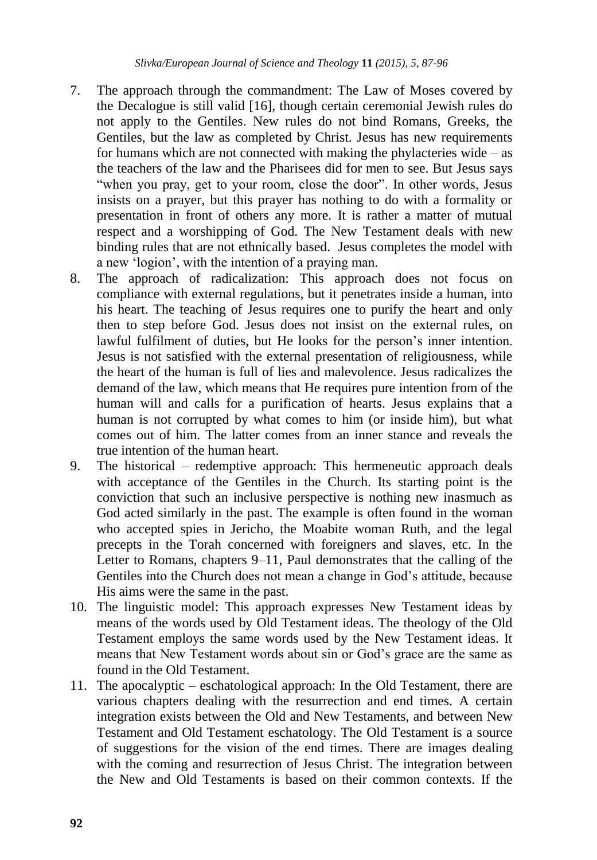- 7. The approach through the commandment: The Law of Moses covered by the Decalogue is still valid [16], though certain ceremonial Jewish rules do not apply to the Gentiles. New rules do not bind Romans, Greeks, the Gentiles, but the law as completed by Christ. Jesus has new requirements for humans which are not connected with making the phylacteries wide – as the teachers of the law and the Pharisees did for men to see. But Jesus says "when you pray, get to your room, close the door". In other words, Jesus insists on a prayer, but this prayer has nothing to do with a formality or presentation in front of others any more. It is rather a matter of mutual respect and a worshipping of God. The New Testament deals with new binding rules that are not ethnically based. Jesus completes the model with a new "logion", with the intention of a praying man.
- 8. The approach of radicalization: This approach does not focus on compliance with external regulations, but it penetrates inside a human, into his heart. The teaching of Jesus requires one to purify the heart and only then to step before God. Jesus does not insist on the external rules, on lawful fulfilment of duties, but He looks for the person's inner intention. Jesus is not satisfied with the external presentation of religiousness, while the heart of the human is full of lies and malevolence. Jesus radicalizes the demand of the law, which means that He requires pure intention from of the human will and calls for a purification of hearts. Jesus explains that a human is not corrupted by what comes to him (or inside him), but what comes out of him. The latter comes from an inner stance and reveals the true intention of the human heart.
- 9. The historical redemptive approach: This hermeneutic approach deals with acceptance of the Gentiles in the Church. Its starting point is the conviction that such an inclusive perspective is nothing new inasmuch as God acted similarly in the past. The example is often found in the woman who accepted spies in Jericho, the Moabite woman Ruth, and the legal precepts in the Torah concerned with foreigners and slaves, etc. In the Letter to Romans, chapters 9–11, Paul demonstrates that the calling of the Gentiles into the Church does not mean a change in God"s attitude, because His aims were the same in the past.
- 10. The linguistic model: This approach expresses New Testament ideas by means of the words used by Old Testament ideas. The theology of the Old Testament employs the same words used by the New Testament ideas. It means that New Testament words about sin or God"s grace are the same as found in the Old Testament.
- 11. The apocalyptic eschatological approach: In the Old Testament, there are various chapters dealing with the resurrection and end times. A certain integration exists between the Old and New Testaments, and between New Testament and Old Testament eschatology. The Old Testament is a source of suggestions for the vision of the end times. There are images dealing with the coming and resurrection of Jesus Christ. The integration between the New and Old Testaments is based on their common contexts. If the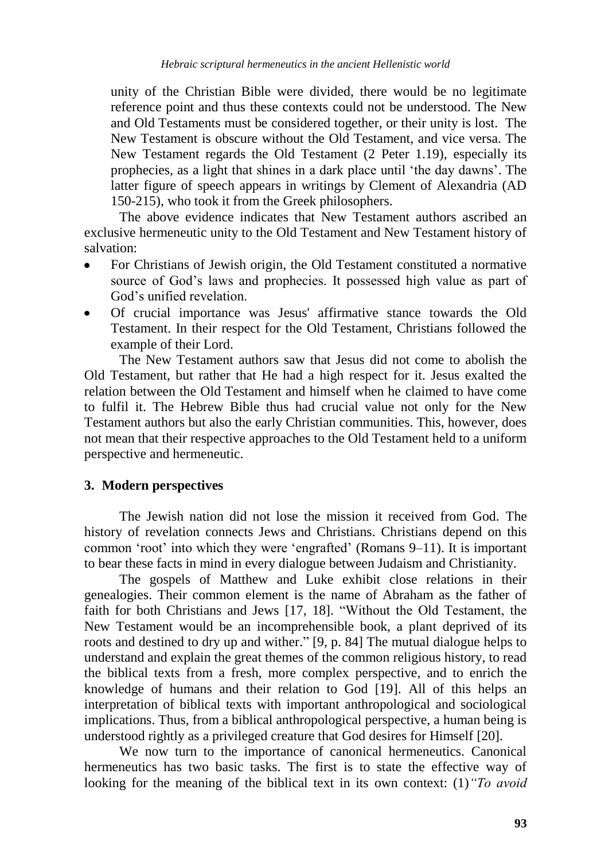unity of the Christian Bible were divided, there would be no legitimate reference point and thus these contexts could not be understood. The New and Old Testaments must be considered together, or their unity is lost. The New Testament is obscure without the Old Testament, and vice versa. The New Testament regards the Old Testament (2 Peter 1.19), especially its prophecies, as a light that shines in a dark place until "the day dawns". The latter figure of speech appears in writings by Clement of Alexandria (AD 150-215), who took it from the Greek philosophers.

The above evidence indicates that New Testament authors ascribed an exclusive hermeneutic unity to the Old Testament and New Testament history of salvation:

- For Christians of Jewish origin, the Old Testament constituted a normative source of God"s laws and prophecies. It possessed high value as part of God"s unified revelation.
- Of crucial importance was Jesus' affirmative stance towards the Old Testament. In their respect for the Old Testament, Christians followed the example of their Lord.

The New Testament authors saw that Jesus did not come to abolish the Old Testament, but rather that He had a high respect for it. Jesus exalted the relation between the Old Testament and himself when he claimed to have come to fulfil it. The Hebrew Bible thus had crucial value not only for the New Testament authors but also the early Christian communities. This, however, does not mean that their respective approaches to the Old Testament held to a uniform perspective and hermeneutic.

## **3. Modern perspectives**

The Jewish nation did not lose the mission it received from God. The history of revelation connects Jews and Christians. Christians depend on this common "root" into which they were "engrafted" (Romans 9–11). It is important to bear these facts in mind in every dialogue between Judaism and Christianity.

The gospels of Matthew and Luke exhibit close relations in their genealogies. Their common element is the name of Abraham as the father of faith for both Christians and Jews [17, 18]. "Without the Old Testament, the New Testament would be an incomprehensible book, a plant deprived of its roots and destined to dry up and wither." [9, p. 84] The mutual dialogue helps to understand and explain the great themes of the common religious history, to read the biblical texts from a fresh, more complex perspective, and to enrich the knowledge of humans and their relation to God [19]. All of this helps an interpretation of biblical texts with important anthropological and sociological implications. Thus, from a biblical anthropological perspective, a human being is understood rightly as a privileged creature that God desires for Himself [20].

We now turn to the importance of canonical hermeneutics. Canonical hermeneutics has two basic tasks. The first is to state the effective way of looking for the meaning of the biblical text in its own context: (1)*"To avoid*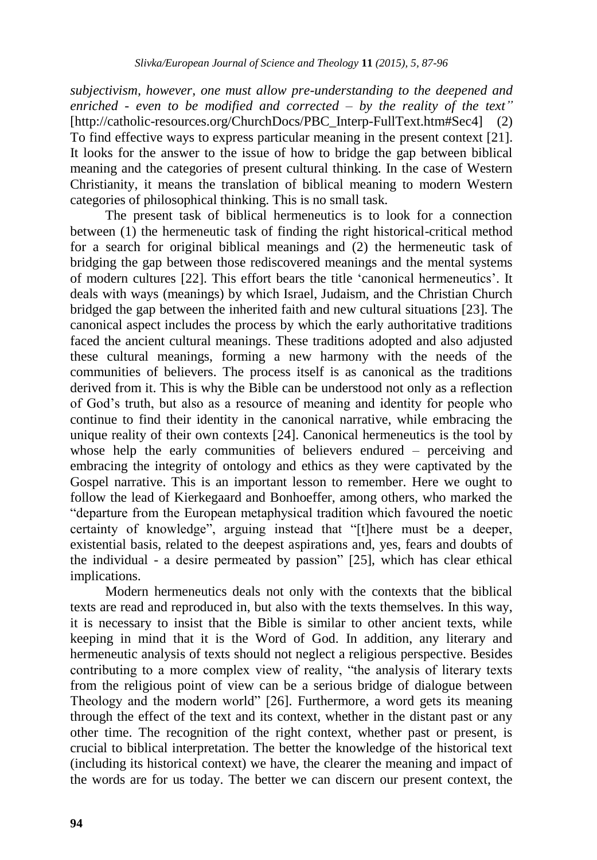*subjectivism, however, one must allow pre-understanding to the deepened and enriched - even to be modified and corrected – by the reality of the text"* [http://catholic-resources.org/ChurchDocs/PBC\_Interp-FullText.htm#Sec4] (2) To find effective ways to express particular meaning in the present context [21]. It looks for the answer to the issue of how to bridge the gap between biblical meaning and the categories of present cultural thinking. In the case of Western Christianity, it means the translation of biblical meaning to modern Western categories of philosophical thinking. This is no small task.

The present task of biblical hermeneutics is to look for a connection between (1) the hermeneutic task of finding the right historical-critical method for a search for original biblical meanings and (2) the hermeneutic task of bridging the gap between those rediscovered meanings and the mental systems of modern cultures [22]. This effort bears the title "canonical hermeneutics". It deals with ways (meanings) by which Israel, Judaism, and the Christian Church bridged the gap between the inherited faith and new cultural situations [23]. The canonical aspect includes the process by which the early authoritative traditions faced the ancient cultural meanings. These traditions adopted and also adjusted these cultural meanings, forming a new harmony with the needs of the communities of believers. The process itself is as canonical as the traditions derived from it. This is why the Bible can be understood not only as a reflection of God"s truth, but also as a resource of meaning and identity for people who continue to find their identity in the canonical narrative, while embracing the unique reality of their own contexts [24]. Canonical hermeneutics is the tool by whose help the early communities of believers endured – perceiving and embracing the integrity of ontology and ethics as they were captivated by the Gospel narrative. This is an important lesson to remember. Here we ought to follow the lead of Kierkegaard and Bonhoeffer, among others, who marked the "departure from the European metaphysical tradition which favoured the noetic certainty of knowledge", arguing instead that "[t]here must be a deeper, existential basis, related to the deepest aspirations and, yes, fears and doubts of the individual - a desire permeated by passion" [25], which has clear ethical implications.

Modern hermeneutics deals not only with the contexts that the biblical texts are read and reproduced in, but also with the texts themselves. In this way, it is necessary to insist that the Bible is similar to other ancient texts, while keeping in mind that it is the Word of God. In addition, any literary and hermeneutic analysis of texts should not neglect a religious perspective. Besides contributing to a more complex view of reality, "the analysis of literary texts from the religious point of view can be a serious bridge of dialogue between Theology and the modern world" [26]. Furthermore, a word gets its meaning through the effect of the text and its context, whether in the distant past or any other time. The recognition of the right context, whether past or present, is crucial to biblical interpretation. The better the knowledge of the historical text (including its historical context) we have, the clearer the meaning and impact of the words are for us today. The better we can discern our present context, the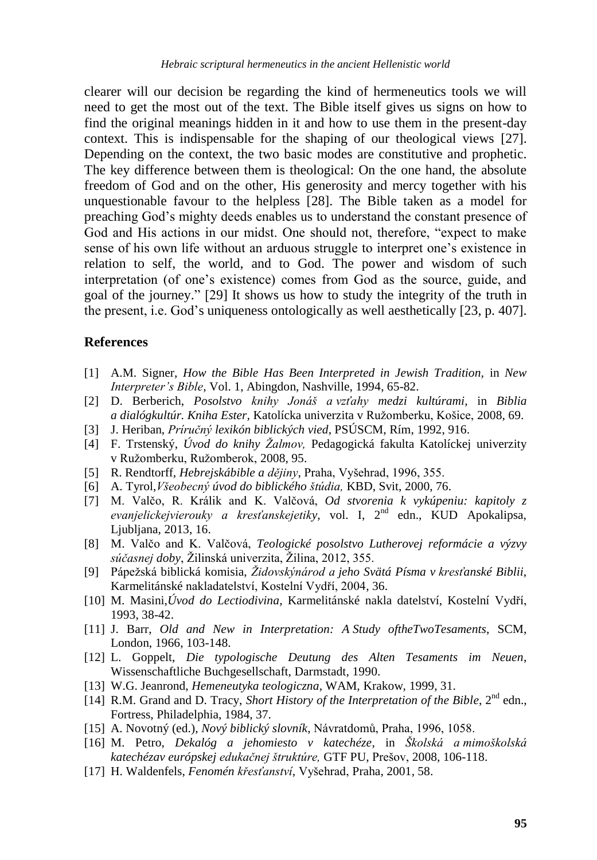clearer will our decision be regarding the kind of hermeneutics tools we will need to get the most out of the text. The Bible itself gives us signs on how to find the original meanings hidden in it and how to use them in the present-day context. This is indispensable for the shaping of our theological views [27]. Depending on the context, the two basic modes are constitutive and prophetic. The key difference between them is theological: On the one hand, the absolute freedom of God and on the other, His generosity and mercy together with his unquestionable favour to the helpless [28]. The Bible taken as a model for preaching God"s mighty deeds enables us to understand the constant presence of God and His actions in our midst. One should not, therefore, "expect to make sense of his own life without an arduous struggle to interpret one"s existence in relation to self, the world, and to God. The power and wisdom of such interpretation (of one"s existence) comes from God as the source, guide, and goal of the journey." [29] It shows us how to study the integrity of the truth in the present, i.e. God"s uniqueness ontologically as well aesthetically [23, p. 407].

#### **References**

- [1] A.M. Signer, *How the Bible Has Been Interpreted in Jewish Tradition,* in *New Interpreter's Bible*, Vol. 1, Abingdon, Nashville, 1994, 65-82.
- [2] D. Berberich, *Posolstvo knihy Jonáš a vzťahy medzi kultúrami*, in *Biblia a dialógkultúr. Kniha Ester,* Katolícka univerzita v Ruţomberku, Košice, 2008, 69.
- [3] J. Heriban, *Príručný lexikón biblických vied*, PSÚSCM, Rím, 1992, 916.
- [4] F. Trstenský, *Úvod do knihy Ţalmov,* Pedagogická fakulta Katolíckej univerzity v Ružomberku, Ružomberok, 2008, 95.
- [5] R. Rendtorff, *Hebrejskábible a dějiny*, Praha, Vyšehrad, 1996, 355.
- [6] A. Tyrol,*Všeobecný úvod do biblického štúdia,* KBD, Svit, 2000, 76.
- [7] M. Valčo, R. Králik and K. Valčová, *Od stvorenia k vykúpeniu: kapitoly z evanjelickejvierouky a kresťanskejetiky,* vol. I, 2nd edn., KUD Apokalipsa, Ljubljana, 2013, 16.
- [8] M. Valčo and K. Valčová, *Teologické posolstvo Lutherovej reformácie a výzvy súčasnej doby*, Žilinská univerzita, Žilina, 2012, 355.
- [9] Pápeţská biblická komisia, *Ţidovskýnárod a jeho Svätá Písma v kresťanské Biblii*, Karmelitánské nakladatelství, Kostelní Vydří, 2004, 36.
- [10] M. Masini,*Úvod do Lectiodivina*, Karmelitánské nakla datelství, Kostelní Vydří, 1993, 38-42.
- [11] J. Barr, *Old and New in Interpretation: A Study oftheTwoTesaments*, SCM, London, 1966, 103-148.
- [12] L. Goppelt, *Die typologische Deutung des Alten Tesaments im Neuen*, Wissenschaftliche Buchgesellschaft, Darmstadt, 1990.
- [13] W.G. Jeanrond, *Hemeneutyka teologiczna*, WAM, Krakow, 1999, 31.
- [14] R.M. Grand and D. Tracy, *Short History of the Interpretation of the Bible*, 2<sup>nd</sup> edn., Fortress, Philadelphia, 1984, 37.
- [15] A. Novotný (ed.), *Nový biblický slovník*, Návratdomů, Praha, 1996, 1058.
- [16] M. Petro, *Dekalóg a jehomiesto v katechéze*, in *Školská a mimoškolská katechézav európskej edukačnej štruktúre,* GTF PU, Prešov, 2008, 106-118.
- [17] H. Waldenfels, *Fenomén křesťanství*, Vyšehrad, Praha, 2001, 58.